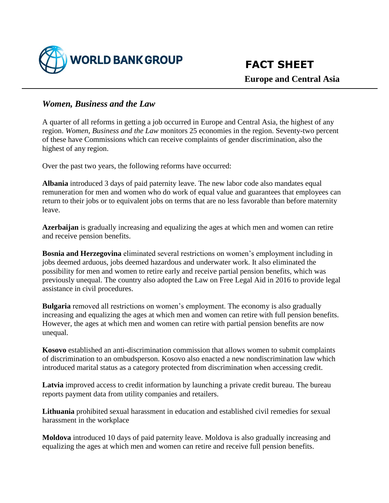

## *Women, Business and the Law*

A quarter of all reforms in getting a job occurred in Europe and Central Asia, the highest of any region. *Women, Business and the Law* monitors 25 economies in the region. Seventy-two percent of these have Commissions which can receive complaints of gender discrimination, also the highest of any region.

Over the past two years, the following reforms have occurred:

**Albania** introduced 3 days of paid paternity leave. The new labor code also mandates equal remuneration for men and women who do work of equal value and guarantees that employees can return to their jobs or to equivalent jobs on terms that are no less favorable than before maternity leave.

**Azerbaijan** is gradually increasing and equalizing the ages at which men and women can retire and receive pension benefits.

**Bosnia and Herzegovina** eliminated several restrictions on women's employment including in jobs deemed arduous, jobs deemed hazardous and underwater work. It also eliminated the possibility for men and women to retire early and receive partial pension benefits, which was previously unequal. The country also adopted the Law on Free Legal Aid in 2016 to provide legal assistance in civil procedures.

**Bulgaria** removed all restrictions on women's employment. The economy is also gradually increasing and equalizing the ages at which men and women can retire with full pension benefits. However, the ages at which men and women can retire with partial pension benefits are now unequal.

**Kosovo** established an anti-discrimination commission that allows women to submit complaints of discrimination to an ombudsperson. Kosovo also enacted a new nondiscrimination law which introduced marital status as a category protected from discrimination when accessing credit.

**Latvia** improved access to credit information by launching a private credit bureau. The bureau reports payment data from utility companies and retailers.

**Lithuania** prohibited sexual harassment in education and established civil remedies for sexual harassment in the workplace

**Moldova** introduced 10 days of paid paternity leave. Moldova is also gradually increasing and equalizing the ages at which men and women can retire and receive full pension benefits.